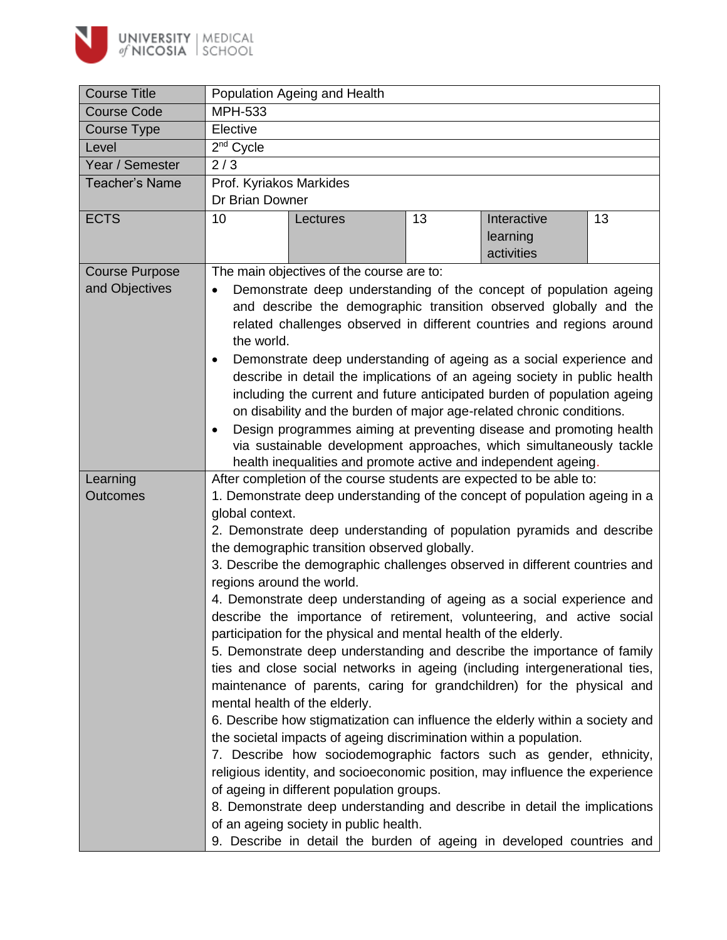

| <b>Course Title</b>   | Population Ageing and Health                                                                                                                                                                                                                                                                                                                                                                                                                                                                                                                                                                                                                                                                                                                                                      |                                                                                                                                                     |                                                                           |                                       |    |  |
|-----------------------|-----------------------------------------------------------------------------------------------------------------------------------------------------------------------------------------------------------------------------------------------------------------------------------------------------------------------------------------------------------------------------------------------------------------------------------------------------------------------------------------------------------------------------------------------------------------------------------------------------------------------------------------------------------------------------------------------------------------------------------------------------------------------------------|-----------------------------------------------------------------------------------------------------------------------------------------------------|---------------------------------------------------------------------------|---------------------------------------|----|--|
| <b>Course Code</b>    | <b>MPH-533</b>                                                                                                                                                                                                                                                                                                                                                                                                                                                                                                                                                                                                                                                                                                                                                                    |                                                                                                                                                     |                                                                           |                                       |    |  |
| <b>Course Type</b>    | Elective                                                                                                                                                                                                                                                                                                                                                                                                                                                                                                                                                                                                                                                                                                                                                                          |                                                                                                                                                     |                                                                           |                                       |    |  |
| Level                 | $2nd$ Cycle                                                                                                                                                                                                                                                                                                                                                                                                                                                                                                                                                                                                                                                                                                                                                                       |                                                                                                                                                     |                                                                           |                                       |    |  |
| Year / Semester       | 2/3                                                                                                                                                                                                                                                                                                                                                                                                                                                                                                                                                                                                                                                                                                                                                                               |                                                                                                                                                     |                                                                           |                                       |    |  |
| <b>Teacher's Name</b> | Prof. Kyriakos Markides                                                                                                                                                                                                                                                                                                                                                                                                                                                                                                                                                                                                                                                                                                                                                           |                                                                                                                                                     |                                                                           |                                       |    |  |
|                       | Dr Brian Downer                                                                                                                                                                                                                                                                                                                                                                                                                                                                                                                                                                                                                                                                                                                                                                   |                                                                                                                                                     |                                                                           |                                       |    |  |
| <b>ECTS</b>           | 10                                                                                                                                                                                                                                                                                                                                                                                                                                                                                                                                                                                                                                                                                                                                                                                | Lectures                                                                                                                                            | 13                                                                        | Interactive<br>learning<br>activities | 13 |  |
| <b>Course Purpose</b> | The main objectives of the course are to:                                                                                                                                                                                                                                                                                                                                                                                                                                                                                                                                                                                                                                                                                                                                         |                                                                                                                                                     |                                                                           |                                       |    |  |
| and Objectives        | Demonstrate deep understanding of the concept of population ageing<br>and describe the demographic transition observed globally and the<br>related challenges observed in different countries and regions around<br>the world.<br>Demonstrate deep understanding of ageing as a social experience and<br>$\bullet$<br>describe in detail the implications of an ageing society in public health<br>including the current and future anticipated burden of population ageing<br>on disability and the burden of major age-related chronic conditions.<br>Design programmes aiming at preventing disease and promoting health<br>$\bullet$<br>via sustainable development approaches, which simultaneously tackle<br>health inequalities and promote active and independent ageing. |                                                                                                                                                     |                                                                           |                                       |    |  |
| Learning              | After completion of the course students are expected to be able to:                                                                                                                                                                                                                                                                                                                                                                                                                                                                                                                                                                                                                                                                                                               |                                                                                                                                                     |                                                                           |                                       |    |  |
| <b>Outcomes</b>       | 1. Demonstrate deep understanding of the concept of population ageing in a                                                                                                                                                                                                                                                                                                                                                                                                                                                                                                                                                                                                                                                                                                        |                                                                                                                                                     |                                                                           |                                       |    |  |
|                       | global context.                                                                                                                                                                                                                                                                                                                                                                                                                                                                                                                                                                                                                                                                                                                                                                   |                                                                                                                                                     |                                                                           |                                       |    |  |
|                       | 2. Demonstrate deep understanding of population pyramids and describe                                                                                                                                                                                                                                                                                                                                                                                                                                                                                                                                                                                                                                                                                                             |                                                                                                                                                     |                                                                           |                                       |    |  |
|                       | the demographic transition observed globally.                                                                                                                                                                                                                                                                                                                                                                                                                                                                                                                                                                                                                                                                                                                                     |                                                                                                                                                     |                                                                           |                                       |    |  |
|                       | 3. Describe the demographic challenges observed in different countries and                                                                                                                                                                                                                                                                                                                                                                                                                                                                                                                                                                                                                                                                                                        |                                                                                                                                                     |                                                                           |                                       |    |  |
|                       | regions around the world.                                                                                                                                                                                                                                                                                                                                                                                                                                                                                                                                                                                                                                                                                                                                                         |                                                                                                                                                     |                                                                           |                                       |    |  |
|                       | 4. Demonstrate deep understanding of ageing as a social experience and<br>describe the importance of retirement, volunteering, and active social<br>participation for the physical and mental health of the elderly.<br>5. Demonstrate deep understanding and describe the importance of family<br>ties and close social networks in ageing (including intergenerational ties,<br>maintenance of parents, caring for grandchildren) for the physical and<br>mental health of the elderly.                                                                                                                                                                                                                                                                                         |                                                                                                                                                     |                                                                           |                                       |    |  |
|                       |                                                                                                                                                                                                                                                                                                                                                                                                                                                                                                                                                                                                                                                                                                                                                                                   | 6. Describe how stigmatization can influence the elderly within a society and<br>the societal impacts of ageing discrimination within a population. |                                                                           |                                       |    |  |
|                       |                                                                                                                                                                                                                                                                                                                                                                                                                                                                                                                                                                                                                                                                                                                                                                                   | 7. Describe how sociodemographic factors such as gender, ethnicity,<br>religious identity, and socioeconomic position, may influence the experience |                                                                           |                                       |    |  |
|                       |                                                                                                                                                                                                                                                                                                                                                                                                                                                                                                                                                                                                                                                                                                                                                                                   | of ageing in different population groups.                                                                                                           |                                                                           |                                       |    |  |
|                       |                                                                                                                                                                                                                                                                                                                                                                                                                                                                                                                                                                                                                                                                                                                                                                                   | of an ageing society in public health.                                                                                                              | 8. Demonstrate deep understanding and describe in detail the implications |                                       |    |  |
|                       |                                                                                                                                                                                                                                                                                                                                                                                                                                                                                                                                                                                                                                                                                                                                                                                   | 9. Describe in detail the burden of ageing in developed countries and                                                                               |                                                                           |                                       |    |  |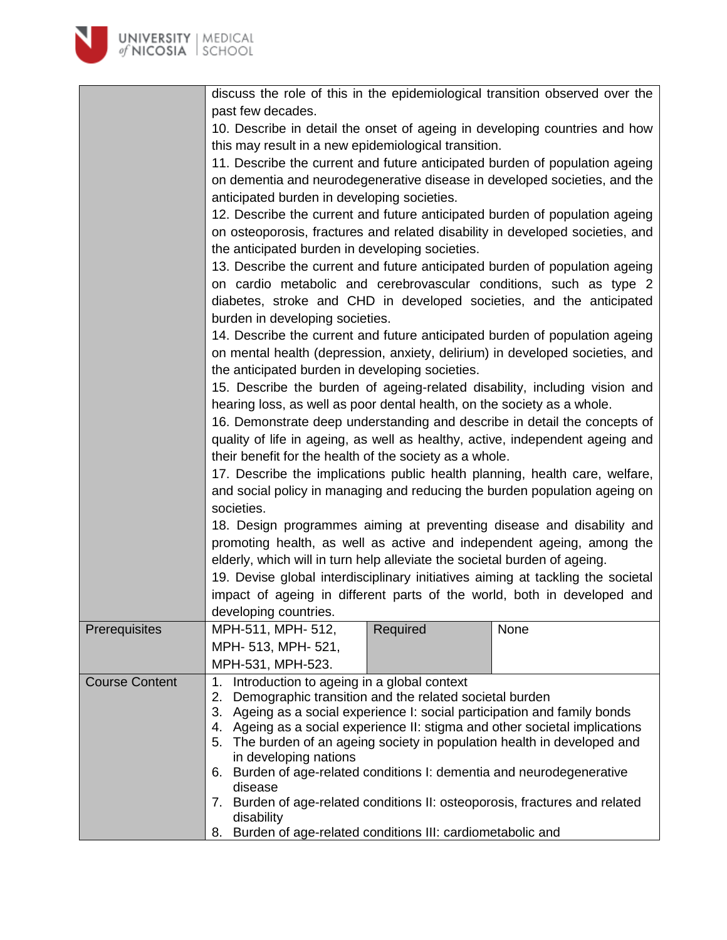| <b>UNIVERSITY   MEDICAL</b><br>of NICOSIA   SCHOOL |                                                                                                                                                                                                                                                                              |          |                                                                            |  |  |
|----------------------------------------------------|------------------------------------------------------------------------------------------------------------------------------------------------------------------------------------------------------------------------------------------------------------------------------|----------|----------------------------------------------------------------------------|--|--|
|                                                    |                                                                                                                                                                                                                                                                              |          |                                                                            |  |  |
|                                                    | discuss the role of this in the epidemiological transition observed over the                                                                                                                                                                                                 |          |                                                                            |  |  |
|                                                    | past few decades.                                                                                                                                                                                                                                                            |          |                                                                            |  |  |
|                                                    |                                                                                                                                                                                                                                                                              |          | 10. Describe in detail the onset of ageing in developing countries and how |  |  |
|                                                    | this may result in a new epidemiological transition.                                                                                                                                                                                                                         |          |                                                                            |  |  |
|                                                    | 11. Describe the current and future anticipated burden of population ageing<br>on dementia and neurodegenerative disease in developed societies, and the<br>anticipated burden in developing societies.                                                                      |          |                                                                            |  |  |
|                                                    | 12. Describe the current and future anticipated burden of population ageing<br>on osteoporosis, fractures and related disability in developed societies, and                                                                                                                 |          |                                                                            |  |  |
|                                                    | the anticipated burden in developing societies.<br>13. Describe the current and future anticipated burden of population ageing<br>on cardio metabolic and cerebrovascular conditions, such as type 2<br>diabetes, stroke and CHD in developed societies, and the anticipated |          |                                                                            |  |  |
|                                                    |                                                                                                                                                                                                                                                                              |          |                                                                            |  |  |
|                                                    | burden in developing societies.<br>14. Describe the current and future anticipated burden of population ageing<br>on mental health (depression, anxiety, delirium) in developed societies, and                                                                               |          |                                                                            |  |  |
|                                                    | the anticipated burden in developing societies.                                                                                                                                                                                                                              |          |                                                                            |  |  |
|                                                    | 15. Describe the burden of ageing-related disability, including vision and<br>hearing loss, as well as poor dental health, on the society as a whole.                                                                                                                        |          |                                                                            |  |  |
|                                                    | 16. Demonstrate deep understanding and describe in detail the concepts of                                                                                                                                                                                                    |          |                                                                            |  |  |
|                                                    | quality of life in ageing, as well as healthy, active, independent ageing and<br>their benefit for the health of the society as a whole.                                                                                                                                     |          |                                                                            |  |  |
|                                                    | 17. Describe the implications public health planning, health care, welfare,                                                                                                                                                                                                  |          |                                                                            |  |  |
|                                                    | and social policy in managing and reducing the burden population ageing on<br>societies.                                                                                                                                                                                     |          |                                                                            |  |  |
|                                                    |                                                                                                                                                                                                                                                                              |          |                                                                            |  |  |
|                                                    | 18. Design programmes aiming at preventing disease and disability and                                                                                                                                                                                                        |          |                                                                            |  |  |
|                                                    | promoting health, as well as active and independent ageing, among the<br>elderly, which will in turn help alleviate the societal burden of ageing.<br>19. Devise global interdisciplinary initiatives aiming at tackling the societal                                        |          |                                                                            |  |  |
|                                                    |                                                                                                                                                                                                                                                                              |          |                                                                            |  |  |
|                                                    |                                                                                                                                                                                                                                                                              |          | impact of ageing in different parts of the world, both in developed and    |  |  |
|                                                    | developing countries.                                                                                                                                                                                                                                                        |          |                                                                            |  |  |
| Prerequisites                                      | MPH-511, MPH- 512,                                                                                                                                                                                                                                                           | Required | None                                                                       |  |  |
|                                                    | MPH- 513, MPH- 521,                                                                                                                                                                                                                                                          |          |                                                                            |  |  |
|                                                    | MPH-531, MPH-523.                                                                                                                                                                                                                                                            |          |                                                                            |  |  |
| <b>Course Content</b>                              | Introduction to ageing in a global context<br>1.                                                                                                                                                                                                                             |          |                                                                            |  |  |
|                                                    | Demographic transition and the related societal burden<br>2.                                                                                                                                                                                                                 |          |                                                                            |  |  |
|                                                    | 3. Ageing as a social experience I: social participation and family bonds                                                                                                                                                                                                    |          |                                                                            |  |  |
|                                                    | 4. Ageing as a social experience II: stigma and other societal implications<br>5. The burden of an ageing society in population health in developed and                                                                                                                      |          |                                                                            |  |  |
|                                                    | in developing nations                                                                                                                                                                                                                                                        |          |                                                                            |  |  |
|                                                    | Burden of age-related conditions I: dementia and neurodegenerative<br>6.<br>disease<br>Burden of age-related conditions II: osteoporosis, fractures and related<br>7.<br>disability                                                                                          |          |                                                                            |  |  |
|                                                    |                                                                                                                                                                                                                                                                              |          |                                                                            |  |  |
|                                                    |                                                                                                                                                                                                                                                                              |          |                                                                            |  |  |
|                                                    | 8. Burden of age-related conditions III: cardiometabolic and                                                                                                                                                                                                                 |          |                                                                            |  |  |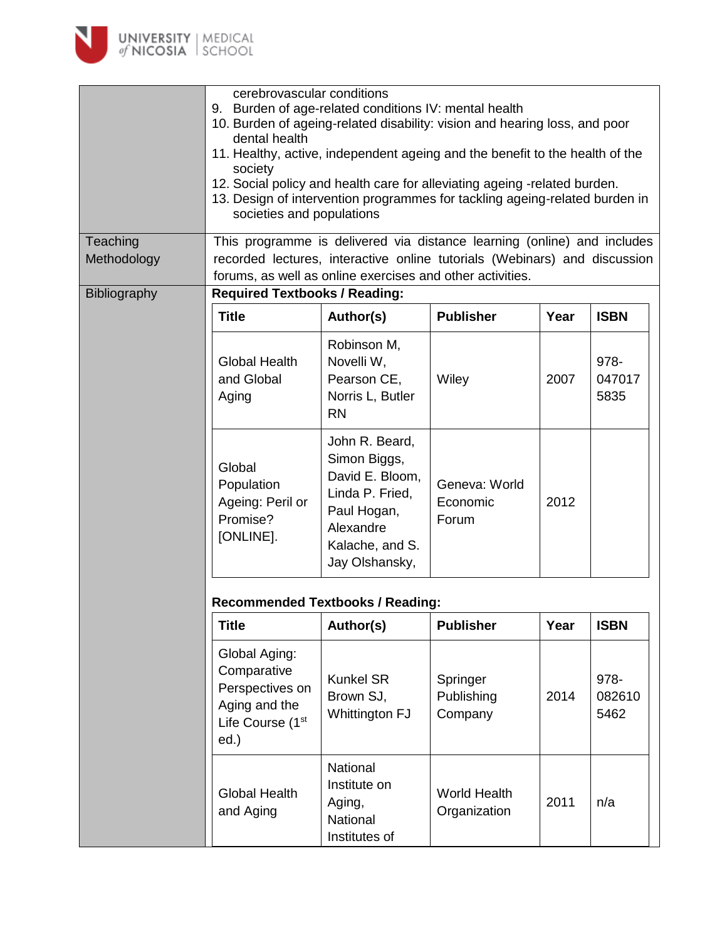

|                         | cerebrovascular conditions<br>9. Burden of age-related conditions IV: mental health<br>10. Burden of ageing-related disability: vision and hearing loss, and poor<br>dental health<br>11. Healthy, active, independent ageing and the benefit to the health of the<br>society<br>12. Social policy and health care for alleviating ageing -related burden.<br>13. Design of intervention programmes for tackling ageing-related burden in<br>societies and populations |                                                                                                                                       |                                     |      |                        |  |
|-------------------------|------------------------------------------------------------------------------------------------------------------------------------------------------------------------------------------------------------------------------------------------------------------------------------------------------------------------------------------------------------------------------------------------------------------------------------------------------------------------|---------------------------------------------------------------------------------------------------------------------------------------|-------------------------------------|------|------------------------|--|
| Teaching<br>Methodology | This programme is delivered via distance learning (online) and includes<br>recorded lectures, interactive online tutorials (Webinars) and discussion<br>forums, as well as online exercises and other activities.                                                                                                                                                                                                                                                      |                                                                                                                                       |                                     |      |                        |  |
| Bibliography            | <b>Required Textbooks / Reading:</b>                                                                                                                                                                                                                                                                                                                                                                                                                                   |                                                                                                                                       |                                     |      |                        |  |
|                         | <b>Title</b>                                                                                                                                                                                                                                                                                                                                                                                                                                                           | Author(s)                                                                                                                             | <b>Publisher</b>                    | Year | <b>ISBN</b>            |  |
|                         | <b>Global Health</b><br>and Global<br>Aging                                                                                                                                                                                                                                                                                                                                                                                                                            | Robinson M,<br>Novelli W,<br>Pearson CE,<br>Norris L, Butler<br><b>RN</b>                                                             | Wiley                               | 2007 | 978-<br>047017<br>5835 |  |
|                         | Global<br>Population<br>Ageing: Peril or<br>Promise?<br>[ONLINE].                                                                                                                                                                                                                                                                                                                                                                                                      | John R. Beard,<br>Simon Biggs,<br>David E. Bloom,<br>Linda P. Fried,<br>Paul Hogan,<br>Alexandre<br>Kalache, and S.<br>Jay Olshansky, | Geneva: World<br>Economic<br>Forum  | 2012 |                        |  |
|                         | <b>Recommended Textbooks / Reading:</b>                                                                                                                                                                                                                                                                                                                                                                                                                                |                                                                                                                                       |                                     |      |                        |  |
|                         | <b>Title</b>                                                                                                                                                                                                                                                                                                                                                                                                                                                           | Author(s)                                                                                                                             | <b>Publisher</b>                    | Year | <b>ISBN</b>            |  |
|                         | Global Aging:<br>Comparative<br>Perspectives on<br>Aging and the<br>Life Course (1 <sup>st</sup><br>$ed.$ )                                                                                                                                                                                                                                                                                                                                                            | <b>Kunkel SR</b><br>Brown SJ,<br>Whittington FJ                                                                                       | Springer<br>Publishing<br>Company   | 2014 | 978-<br>082610<br>5462 |  |
|                         | <b>Global Health</b><br>and Aging                                                                                                                                                                                                                                                                                                                                                                                                                                      | National<br>Institute on<br>Aging,<br>National<br>Institutes of                                                                       | <b>World Health</b><br>Organization | 2011 | n/a                    |  |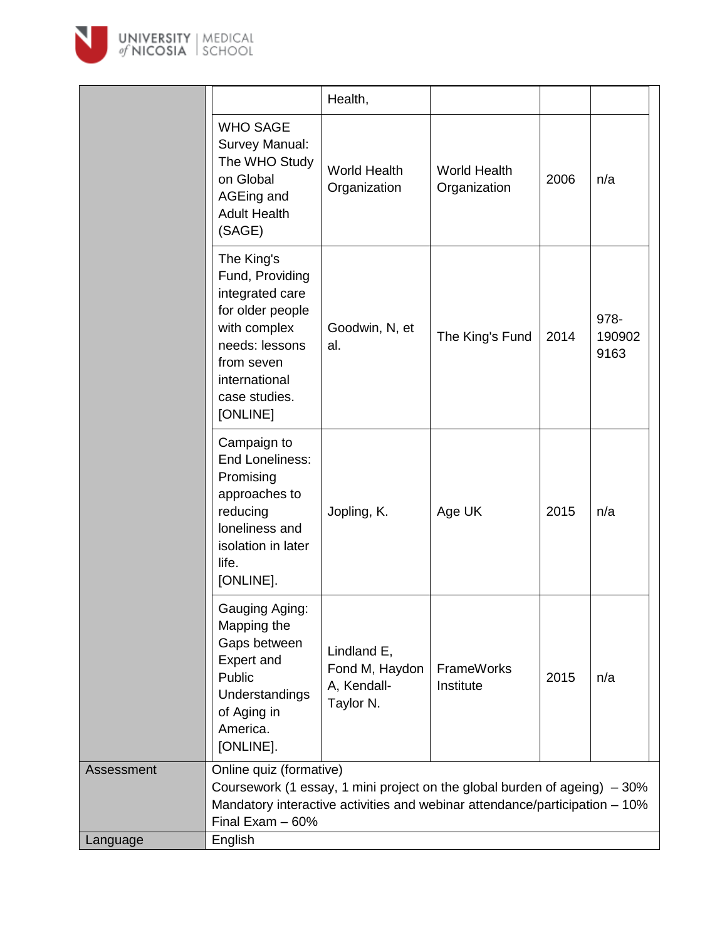

|            |                                                                                                                                                                                                           | Health,                                                   |                                     |      |                        |
|------------|-----------------------------------------------------------------------------------------------------------------------------------------------------------------------------------------------------------|-----------------------------------------------------------|-------------------------------------|------|------------------------|
|            | <b>WHO SAGE</b><br>Survey Manual:<br>The WHO Study<br>on Global<br>AGEing and<br><b>Adult Health</b><br>(SAGE)                                                                                            | <b>World Health</b><br>Organization                       | <b>World Health</b><br>Organization | 2006 | n/a                    |
|            | The King's<br>Fund, Providing<br>integrated care<br>for older people<br>with complex<br>needs: lessons<br>from seven<br>international<br>case studies.<br>[ONLINE]                                        | Goodwin, N, et<br>al.                                     | The King's Fund                     | 2014 | 978-<br>190902<br>9163 |
|            | Campaign to<br>End Loneliness:<br>Promising<br>approaches to<br>reducing<br>loneliness and<br>isolation in later<br>life.<br>[ONLINE].                                                                    | Jopling, K.                                               | Age UK                              | 2015 | n/a                    |
|            | Gauging Aging:<br>Mapping the<br>Gaps between<br>Expert and<br>Public<br>Understandings<br>of Aging in<br>America.<br>[ONLINE].                                                                           | Lindland E,<br>Fond M, Haydon<br>A, Kendall-<br>Taylor N. | <b>FrameWorks</b><br>Institute      | 2015 | n/a                    |
| Assessment | Online quiz (formative)<br>Coursework (1 essay, 1 mini project on the global burden of ageing) $-30\%$<br>Mandatory interactive activities and webinar attendance/participation - 10%<br>Final Exam - 60% |                                                           |                                     |      |                        |
| Language   | English                                                                                                                                                                                                   |                                                           |                                     |      |                        |